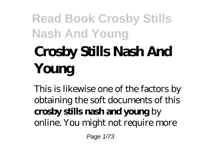# **Crosby Stills Nash And Young**

This is likewise one of the factors by obtaining the soft documents of this **crosby stills nash and young** by online. You might not require more

Page 1/73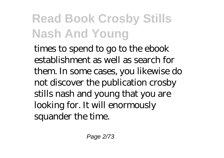times to spend to go to the ebook establishment as well as search for them. In some cases, you likewise do not discover the publication crosby stills nash and young that you are looking for. It will enormously squander the time.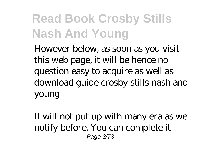However below, as soon as you visit this web page, it will be hence no question easy to acquire as well as download guide crosby stills nash and young

It will not put up with many era as we notify before. You can complete it Page 3/73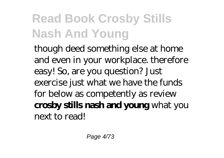though deed something else at home and even in your workplace. therefore easy! So, are you question? Just exercise just what we have the funds for below as competently as review **crosby stills nash and young** what you next to read!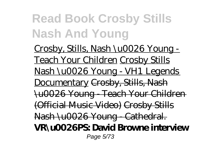Crosby, Stills, Nash \u0026 Young - Teach Your Children Crosby Stills Nash \u0026 Young - VH1 Legends Documentary Crosby, Stills, Nash \u0026 Young - Teach Your Children (Official Music Video) Crosby Stills Nash \u0026 Young Cathedral. **VR\u0026PS: David Browne interview** Page 5/73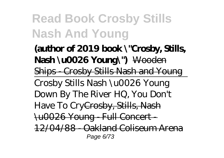**(author of 2019 book \"Crosby, Stills, Nash \u0026 Young\")** Wooden Ships - Crosby Stills Nash and Young Crosby Stills Nash \u0026 Young Down By The River HQ, You Don't Have To CryCrosby, Stills, Nash \u0026 Young - Full Concert - 12/04/88 - Oakland Coliseum Arena Page 6/73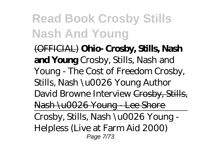(OFFICIAL) **Ohio- Crosby, Stills, Nash and Young** *Crosby, Stills, Nash and Young - The Cost of Freedom Crosby, Stills, Nash \u0026 Young Author David Browne Interview* Crosby, Stills, Nash \u0026 Young - Lee Shore Crosby, Stills, Nash \u0026 Young - Helpless (Live at Farm Aid 2000) Page 7/73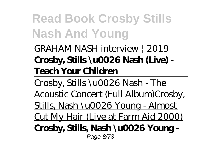#### GRAHAM NASH interview | 2019 **Crosby, Stills \u0026 Nash (Live) - Teach Your Children**

Crosby, Stills \u0026 Nash - The Acoustic Concert (Full Album)Crosby, Stills, Nash \u0026 Young - Almost Cut My Hair (Live at Farm Aid 2000) **Crosby, Stills, Nash \u0026 Young -** Page 8/73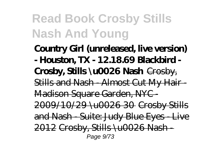**Country Girl (unreleased, live version) - Houston, TX - 12.18.69 Blackbird - Crosby, Stills \u0026 Nash** Crosby, Stills and Nash - Almost Cut My Hair - Madison Square Garden, NYC - 2009/10/29 \u0026 30 Crosby Stills and Nash - Suite: Judy Blue Eyes - Live  $2012$  Crosby, Stills \u0026 Nash-Page 9/73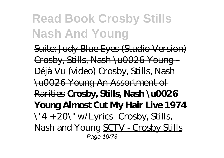Suite: Judy Blue Eyes (Studio Version) Crosby, Stills, Nash \u0026 Young - Déjà Vu (video) Crosby, Stills, Nash \u0026 Young An Assortment of Rarities **Crosby, Stills, Nash \u0026 Young Almost Cut My Hair Live 1974** *\"4 + 20\" w/Lyrics- Crosby, Stills, Nash and Young* SCTV - Crosby Stills Page 10/73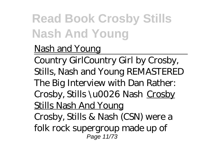#### Nash and Young

Country Girl*Country Girl by Crosby, Stills, Nash and Young REMASTERED* The Big Interview with Dan Rather: Crosby, Stills \u0026 Nash Crosby Stills Nash And Young Crosby, Stills & Nash (CSN) were a folk rock supergroup made up of Page 11/73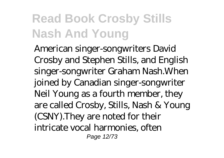American singer-songwriters David Crosby and Stephen Stills, and English singer-songwriter Graham Nash.When joined by Canadian singer-songwriter Neil Young as a fourth member, they are called Crosby, Stills, Nash & Young (CSNY).They are noted for their intricate vocal harmonies, often Page 12/73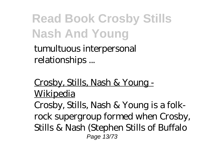tumultuous interpersonal relationships ...

Crosby, Stills, Nash & Young - **Wikipedia** Crosby, Stills, Nash & Young is a folkrock supergroup formed when Crosby, Stills & Nash (Stephen Stills of Buffalo Page 13/73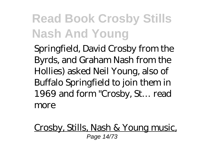Springfield, David Crosby from the Byrds, and Graham Nash from the Hollies) asked Neil Young, also of Buffalo Springfield to join them in 1969 and form "Crosby, St… read more

Crosby, Stills, Nash & Young music, Page 14/73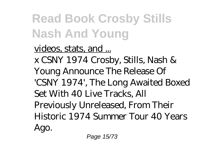#### videos, stats, and ...

x CSNY 1974 Crosby, Stills, Nash & Young Announce The Release Of 'CSNY 1974', The Long Awaited Boxed Set With 40 Live Tracks, All Previously Unreleased, From Their Historic 1974 Summer Tour 40 Years Ago.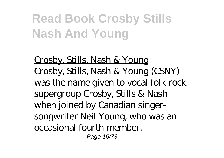Crosby, Stills, Nash & Young Crosby, Stills, Nash & Young (CSNY) was the name given to vocal folk rock supergroup Crosby, Stills & Nash when joined by Canadian singersongwriter Neil Young, who was an occasional fourth member. Page 16/73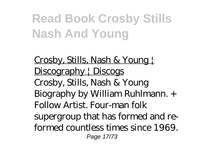Crosby, Stills, Nash & Young | Discography | Discogs Crosby, Stills, Nash & Young Biography by William Ruhlmann. + Follow Artist. Four-man folk supergroup that has formed and reformed countless times since 1969. Page 17/73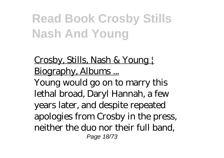Crosby, Stills, Nash & Young Biography, Albums ... Young would go on to marry this lethal broad, Daryl Hannah, a few years later, and despite repeated apologies from Crosby in the press, neither the duo nor their full band, Page 18/73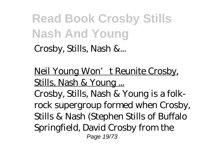Crosby, Stills, Nash &...

Neil Young Won't Reunite Crosby, Stills, Nash & Young ...

Crosby, Stills, Nash & Young is a folkrock supergroup formed when Crosby, Stills & Nash (Stephen Stills of Buffalo Springfield, David Crosby from the Page 19/73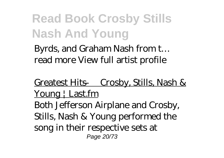Byrds, and Graham Nash from t… read more View full artist profile

Greatest Hits — Crosby, Stills, Nash & Young | Last.fm Both Jefferson Airplane and Crosby, Stills, Nash & Young performed the song in their respective sets at Page 20/73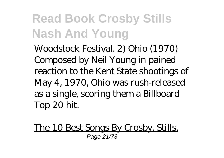Woodstock Festival. 2) Ohio (1970) Composed by Neil Young in pained reaction to the Kent State shootings of May 4, 1970, Ohio was rush-released as a single, scoring them a Billboard Top 20 hit.

The 10 Best Songs By Crosby, Stills, Page 21/73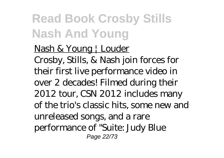Nash & Young | Louder Crosby, Stills, & Nash join forces for their first live performance video in over 2 decades! Filmed during their 2012 tour, CSN 2012 includes many of the trio's classic hits, some new and unreleased songs, and a rare performance of "Suite: Judy Blue Page 22/73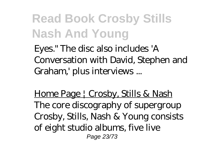Eyes." The disc also includes 'A Conversation with David, Stephen and Graham,' plus interviews ...

Home Page | Crosby, Stills & Nash The core discography of supergroup Crosby, Stills, Nash & Young consists of eight studio albums, five live Page 23/73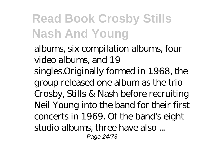albums, six compilation albums, four video albums, and 19 singles.Originally formed in 1968, the group released one album as the trio Crosby, Stills & Nash before recruiting Neil Young into the band for their first concerts in 1969. Of the band's eight studio albums, three have also ... Page 24/73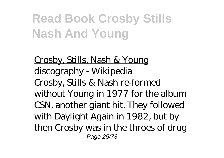Crosby, Stills, Nash & Young discography - Wikipedia Crosby, Stills & Nash re-formed without Young in 1977 for the album CSN, another giant hit. They followed with Daylight Again in 1982, but by then Crosby was in the throes of drug Page 25/73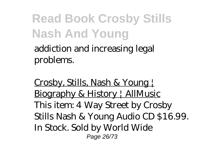addiction and increasing legal problems.

Crosby, Stills, Nash & Young | Biography & History | AllMusic This item: 4 Way Street by Crosby Stills Nash & Young Audio CD \$16.99. In Stock. Sold by World Wide Page 26/73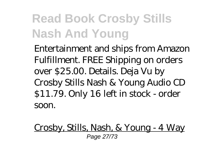Entertainment and ships from Amazon Fulfillment. FREE Shipping on orders over \$25.00. Details. Deja Vu by Crosby Stills Nash & Young Audio CD \$11.79. Only 16 left in stock - order soon.

Crosby, Stills, Nash, & Young - 4 Way Page 27/73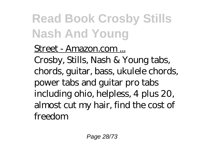#### Street - Amazon.com ... Crosby, Stills, Nash & Young tabs, chords, guitar, bass, ukulele chords, power tabs and guitar pro tabs including ohio, helpless, 4 plus 20,

almost cut my hair, find the cost of freedom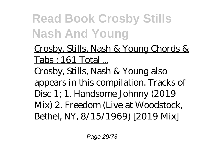Crosby, Stills, Nash & Young Chords & Tabs : 161 Total ...

Crosby, Stills, Nash & Young also appears in this compilation. Tracks of Disc 1; 1. Handsome Johnny (2019 Mix) 2. Freedom (Live at Woodstock, Bethel, NY, 8/15/1969) [2019 Mix]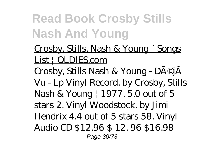#### Crosby, Stills, Nash & Young ~ Songs List | OLDIES.com

Crosby, Stills Nash & Young - DéjÃ Vu - Lp Vinyl Record. by Crosby, Stills Nash & Young | 1977. 5.0 out of 5 stars 2. Vinyl Woodstock. by Jimi Hendrix 4.4 out of 5 stars 58. Vinyl Audio CD \$12.96 \$ 12. 96 \$16.98 Page 30/73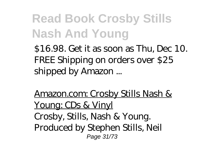\$16.98. Get it as soon as Thu, Dec 10. FREE Shipping on orders over \$25 shipped by Amazon ...

Amazon.com: Crosby Stills Nash & Young: CDs & Vinyl Crosby, Stills, Nash & Young. Produced by Stephen Stills, Neil Page 31/73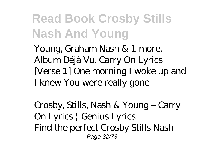Young, Graham Nash & 1 more. Album Déjà Vu. Carry On Lyrics [Verse 1] One morning I woke up and I knew You were really gone

Crosby, Stills, Nash & Young – Carry On Lyrics | Genius Lyrics Find the perfect Crosby Stills Nash Page 32/73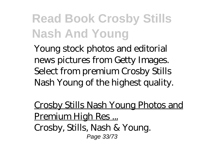Young stock photos and editorial news pictures from Getty Images. Select from premium Crosby Stills Nash Young of the highest quality.

Crosby Stills Nash Young Photos and Premium High Res ... Crosby, Stills, Nash & Young. Page 33/73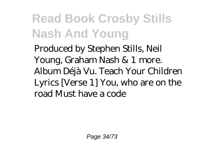Produced by Stephen Stills, Neil Young, Graham Nash & 1 more. Album Déjà Vu. Teach Your Children Lyrics [Verse 1] You, who are on the road Must have a code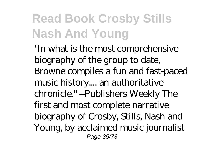"In what is the most comprehensive biography of the group to date, Browne compiles a fun and fast-paced music history.... an authoritative chronicle." --Publishers Weekly The first and most complete narrative biography of Crosby, Stills, Nash and Young, by acclaimed music journalist Page 35/73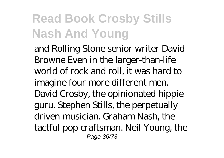and Rolling Stone senior writer David Browne Even in the larger-than-life world of rock and roll, it was hard to imagine four more different men. David Crosby, the opinionated hippie guru. Stephen Stills, the perpetually driven musician. Graham Nash, the tactful pop craftsman. Neil Young, the Page 36/73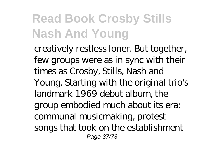creatively restless loner. But together, few groups were as in sync with their times as Crosby, Stills, Nash and Young. Starting with the original trio's landmark 1969 debut album, the group embodied much about its era: communal musicmaking, protest songs that took on the establishment Page 37/73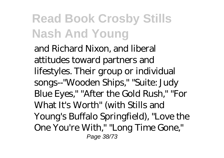and Richard Nixon, and liberal attitudes toward partners and lifestyles. Their group or individual songs--"Wooden Ships," "Suite: Judy Blue Eyes," "After the Gold Rush," "For What It's Worth" (with Stills and Young's Buffalo Springfield), "Love the One You're With," "Long Time Gone," Page 38/73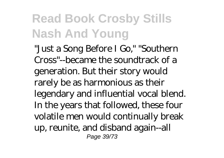"Just a Song Before I Go," "Southern Cross"--became the soundtrack of a generation. But their story would rarely be as harmonious as their legendary and influential vocal blend. In the years that followed, these four volatile men would continually break up, reunite, and disband again--all Page 39/73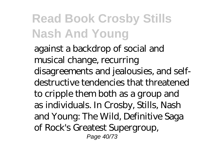against a backdrop of social and musical change, recurring disagreements and jealousies, and selfdestructive tendencies that threatened to cripple them both as a group and as individuals. In Crosby, Stills, Nash and Young: The Wild, Definitive Saga of Rock's Greatest Supergroup, Page 40/73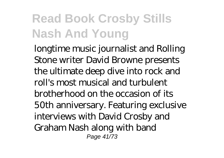longtime music journalist and Rolling Stone writer David Browne presents the ultimate deep dive into rock and roll's most musical and turbulent brotherhood on the occasion of its 50th anniversary. Featuring exclusive interviews with David Crosby and Graham Nash along with band Page 41/73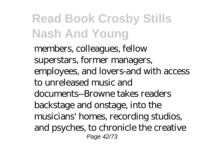members, colleagues, fellow superstars, former managers, employees, and lovers-and with access to unreleased music and documents--Browne takes readers backstage and onstage, into the musicians' homes, recording studios, and psyches, to chronicle the creative Page 42/73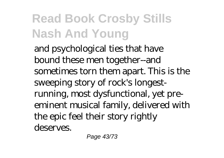and psychological ties that have bound these men together--and sometimes torn them apart. This is the sweeping story of rock's longestrunning, most dysfunctional, yet preeminent musical family, delivered with the epic feel their story rightly deserves.

Page 43/73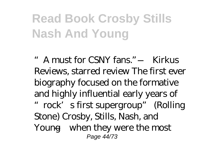"A must for CSNY fans." —Kirkus Reviews, starred review The first ever biography focused on the formative and highly influential early years of "rock's first supergroup" (Rolling Stone) Crosby, Stills, Nash, and Young—when they were the most Page 44/73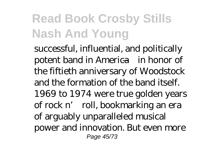successful, influential, and politically potent band in America—in honor of the fiftieth anniversary of Woodstock and the formation of the band itself. 1969 to 1974 were true golden years of rock n' roll, bookmarking an era of arguably unparalleled musical power and innovation. But even more Page 45/73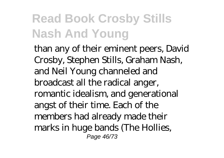than any of their eminent peers, David Crosby, Stephen Stills, Graham Nash, and Neil Young channeled and broadcast all the radical anger, romantic idealism, and generational angst of their time. Each of the members had already made their marks in huge bands (The Hollies, Page 46/73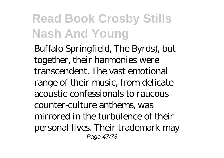Buffalo Springfield, The Byrds), but together, their harmonies were transcendent. The vast emotional range of their music, from delicate acoustic confessionals to raucous counter-culture anthems, was mirrored in the turbulence of their personal lives. Their trademark may Page 47/73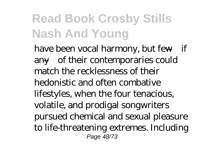have been vocal harmony, but few—if any—of their contemporaries could match the recklessness of their hedonistic and often combative lifestyles, when the four tenacious, volatile, and prodigal songwriters pursued chemical and sexual pleasure to life-threatening extremes. Including Page 48/73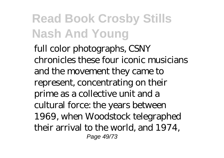full color photographs, CSNY chronicles these four iconic musicians and the movement they came to represent, concentrating on their prime as a collective unit and a cultural force: the years between 1969, when Woodstock telegraphed their arrival to the world, and 1974, Page 49/73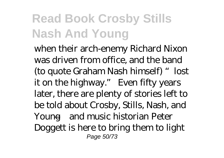when their arch-enemy Richard Nixon was driven from office, and the band (to quote Graham Nash himself) "lost it on the highway." Even fifty years later, there are plenty of stories left to be told about Crosby, Stills, Nash, and Young—and music historian Peter Doggett is here to bring them to light Page 50/73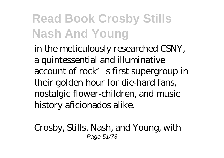in the meticulously researched CSNY, a quintessential and illuminative account of rock's first supergroup in their golden hour for die-hard fans, nostalgic flower-children, and music history aficionados alike.

Crosby, Stills, Nash, and Young, with Page 51/73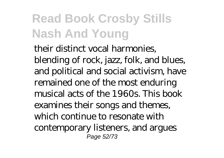their distinct vocal harmonies, blending of rock, jazz, folk, and blues, and political and social activism, have remained one of the most enduring musical acts of the 1960s. This book examines their songs and themes, which continue to resonate with contemporary listeners, and argues Page 52/73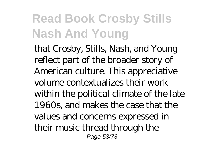that Crosby, Stills, Nash, and Young reflect part of the broader story of American culture. This appreciative volume contextualizes their work within the political climate of the late 1960s, and makes the case that the values and concerns expressed in their music thread through the Page 53/73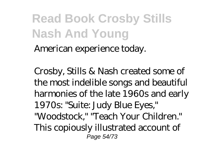American experience today.

Crosby, Stills & Nash created some of the most indelible songs and beautiful harmonies of the late 1960s and early 1970s: "Suite: Judy Blue Eyes," "Woodstock," "Teach Your Children." This copiously illustrated account of Page 54/73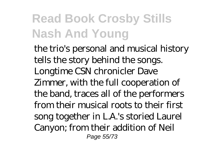the trio's personal and musical history tells the story behind the songs. Longtime CSN chronicler Dave Zimmer, with the full cooperation of the band, traces all of the performers from their musical roots to their first song together in L.A.'s storied Laurel Canyon; from their addition of Neil Page 55/73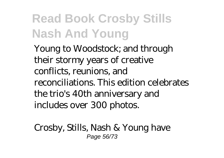Young to Woodstock; and through their stormy years of creative conflicts, reunions, and reconciliations. This edition celebrates the trio's 40th anniversary and includes over 300 photos.

Crosby, Stills, Nash & Young have Page 56/73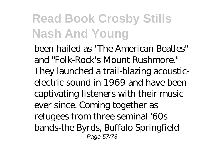been hailed as "The American Beatles" and "Folk-Rock's Mount Rushmore." They launched a trail-blazing acousticelectric sound in 1969 and have been captivating listeners with their music ever since. Coming together as refugees from three seminal '60s bands-the Byrds, Buffalo Springfield Page 57/73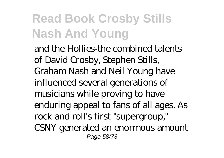and the Hollies-the combined talents of David Crosby, Stephen Stills, Graham Nash and Neil Young have influenced several generations of musicians while proving to have enduring appeal to fans of all ages. As rock and roll's first "supergroup," CSNY generated an enormous amount Page 58/73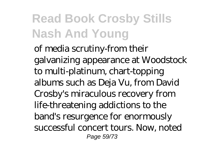of media scrutiny-from their galvanizing appearance at Woodstock to multi-platinum, chart-topping albums such as Deja Vu, from David Crosby's miraculous recovery from life-threatening addictions to the band's resurgence for enormously successful concert tours. Now, noted Page 59/73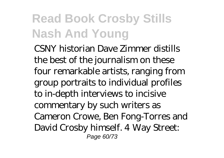CSNY historian Dave Zimmer distills the best of the journalism on these four remarkable artists, ranging from group portraits to individual profiles to in-depth interviews to incisive commentary by such writers as Cameron Crowe, Ben Fong-Torres and David Crosby himself. 4 Way Street: Page 60/73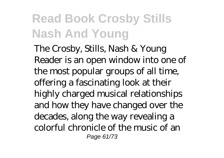The Crosby, Stills, Nash & Young Reader is an open window into one of the most popular groups of all time, offering a fascinating look at their highly charged musical relationships and how they have changed over the decades, along the way revealing a colorful chronicle of the music of an Page 61/73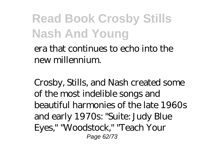era that continues to echo into the new millennium.

Crosby, Stills, and Nash created some of the most indelible songs and beautiful harmonies of the late 1960s and early 1970s: "Suite: Judy Blue Eyes," "Woodstock," "Teach Your Page 62/73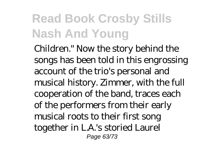Children." Now the story behind the songs has been told in this engrossing account of the trio's personal and musical history. Zimmer, with the full cooperation of the band, traces each of the performers from their early musical roots to their first song together in L.A.'s storied Laurel Page 63/73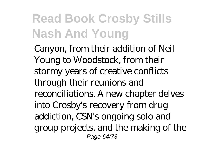Canyon, from their addition of Neil Young to Woodstock, from their stormy years of creative conflicts through their reunions and reconciliations. A new chapter delves into Crosby's recovery from drug addiction, CSN's ongoing solo and group projects, and the making of the Page 64/73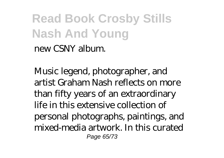new CSNY album.

Music legend, photographer, and artist Graham Nash reflects on more than fifty years of an extraordinary life in this extensive collection of personal photographs, paintings, and mixed-media artwork. In this curated Page 65/73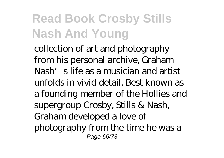collection of art and photography from his personal archive, Graham Nash's life as a musician and artist unfolds in vivid detail. Best known as a founding member of the Hollies and supergroup Crosby, Stills & Nash, Graham developed a love of photography from the time he was a Page 66/73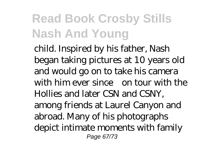child. Inspired by his father, Nash began taking pictures at 10 years old and would go on to take his camera with him ever since—on tour with the Hollies and later CSN and CSNY, among friends at Laurel Canyon and abroad. Many of his photographs depict intimate moments with family Page 67/73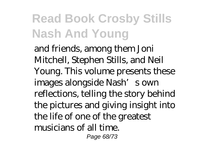and friends, among them Joni Mitchell, Stephen Stills, and Neil Young. This volume presents these images alongside Nash's own reflections, telling the story behind the pictures and giving insight into the life of one of the greatest musicians of all time. Page 68/73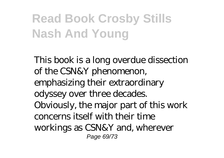This book is a long overdue dissection of the CSN&Y phenomenon, emphasizing their extraordinary odyssey over three decades. Obviously, the major part of this work concerns itself with their time workings as CSN&Y and, wherever Page 69/73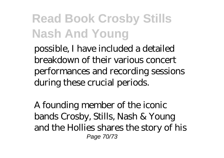possible, I have included a detailed breakdown of their various concert performances and recording sessions during these crucial periods.

A founding member of the iconic bands Crosby, Stills, Nash & Young and the Hollies shares the story of his Page 70/73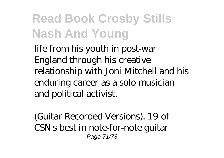life from his youth in post-war England through his creative relationship with Joni Mitchell and his enduring career as a solo musician and political activist.

(Guitar Recorded Versions). 19 of CSN's best in note-for-note guitar Page 71/73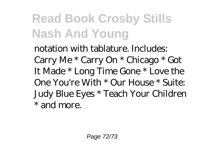notation with tablature. Includes: Carry Me \* Carry On \* Chicago \* Got It Made \* Long Time Gone \* Love the One You're With \* Our House \* Suite: Judy Blue Eyes \* Teach Your Children \* and more.